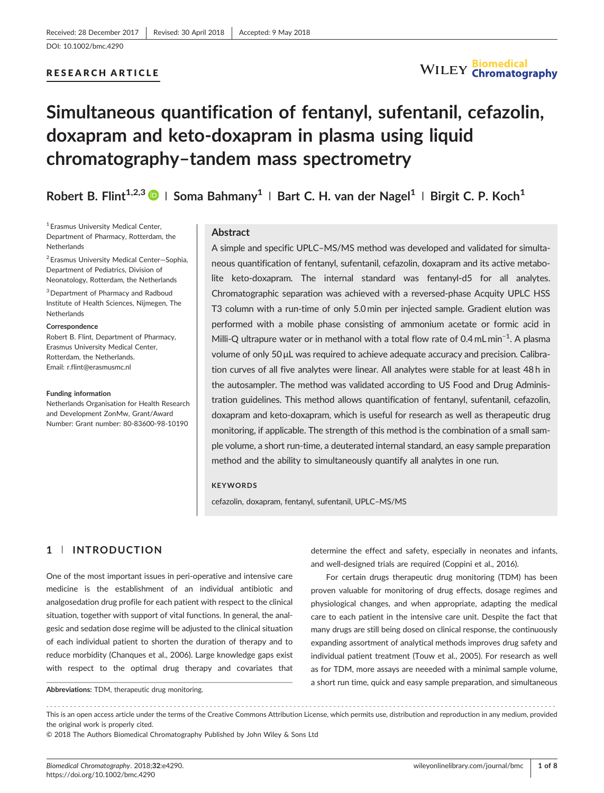### RESEARCH ARTICLE



# Simultaneous quantification of fentanyl, sufentanil, cefazolin, doxapram and keto‐doxapram in plasma using liquid chromatography–tandem mass spectrometry

# Robert B. Flint<sup>1,2,3</sup> | Soma Bahmany<sup>1</sup> | Bart C. H. van der Nagel<sup>1</sup> | Birgit C. P. Koch<sup>1</sup>

<sup>1</sup> Erasmus University Medical Center, Department of Pharmacy, Rotterdam, the **Netherlands** 

<sup>2</sup> Erasmus University Medical Center—Sophia, Department of Pediatrics, Division of Neonatology, Rotterdam, the Netherlands

<sup>3</sup> Department of Pharmacy and Radboud Institute of Health Sciences, Nijmegen, The **Netherlands** 

#### Correspondence

Robert B. Flint, Department of Pharmacy, Erasmus University Medical Center, Rotterdam, the Netherlands. Email: [r.flint@erasmusmc.nl](mailto:r.flint@erasmusmc.nl)

#### Funding information

Netherlands Organisation for Health Research and Development ZonMw, Grant/Award Number: Grant number: 80‐83600‐98‐10190

#### Abstract

A simple and specific UPLC–MS/MS method was developed and validated for simultaneous quantification of fentanyl, sufentanil, cefazolin, doxapram and its active metabolite keto-doxapram. The internal standard was fentanyl-d5 for all analytes. Chromatographic separation was achieved with a reversed‐phase Acquity UPLC HSS T3 column with a run‐time of only 5.0 min per injected sample. Gradient elution was performed with a mobile phase consisting of ammonium acetate or formic acid in Milli-Q ultrapure water or in methanol with a total flow rate of 0.4 mL min<sup>-1</sup>. A plasma volume of only 50μL was required to achieve adequate accuracy and precision. Calibration curves of all five analytes were linear. All analytes were stable for at least 48 h in the autosampler. The method was validated according to US Food and Drug Administration guidelines. This method allows quantification of fentanyl, sufentanil, cefazolin, doxapram and keto‐doxapram, which is useful for research as well as therapeutic drug monitoring, if applicable. The strength of this method is the combination of a small sample volume, a short run‐time, a deuterated internal standard, an easy sample preparation method and the ability to simultaneously quantify all analytes in one run.

#### KEYWORDS

cefazolin, doxapram, fentanyl, sufentanil, UPLC–MS/MS

# 1 | INTRODUCTION

One of the most important issues in peri‐operative and intensive care medicine is the establishment of an individual antibiotic and analgosedation drug profile for each patient with respect to the clinical situation, together with support of vital functions. In general, the analgesic and sedation dose regime will be adjusted to the clinical situation of each individual patient to shorten the duration of therapy and to reduce morbidity (Chanques et al., 2006). Large knowledge gaps exist with respect to the optimal drug therapy and covariates that

Abbreviations: TDM, therapeutic drug monitoring.

determine the effect and safety, especially in neonates and infants, and well-designed trials are required (Coppini et al., 2016).

For certain drugs therapeutic drug monitoring (TDM) has been proven valuable for monitoring of drug effects, dosage regimes and physiological changes, and when appropriate, adapting the medical care to each patient in the intensive care unit. Despite the fact that many drugs are still being dosed on clinical response, the continuously expanding assortment of analytical methods improves drug safety and individual patient treatment (Touw et al., 2005). For research as well as for TDM, more assays are neeeded with a minimal sample volume, a short run time, quick and easy sample preparation, and simultaneous

------------------------------------------------------------------------------------------------------------------------------- - This is an open access article under the terms of the [Creative Commons Attribution](http://creativecommons.org/licenses/by/4.0/) License, which permits use, distribution and reproduction in any medium, provided the original work is properly cited.

© 2018 The Authors Biomedical Chromatography Published by John Wiley & Sons Ltd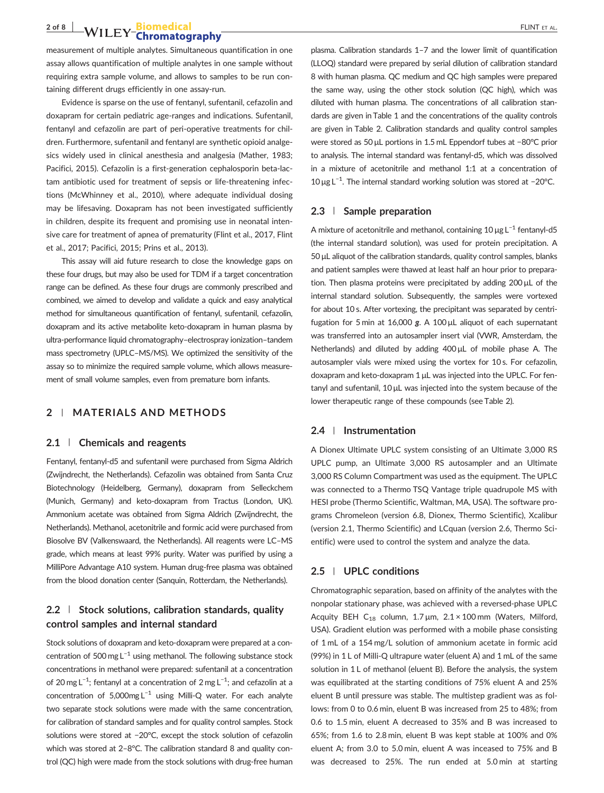# **2 of 8 | WILEY-Biomedical** FLINT ET AL.

measurement of multiple analytes. Simultaneous quantification in one assay allows quantification of multiple analytes in one sample without requiring extra sample volume, and allows to samples to be run containing different drugs efficiently in one assay‐run.

Evidence is sparse on the use of fentanyl, sufentanil, cefazolin and doxapram for certain pediatric age‐ranges and indications. Sufentanil, fentanyl and cefazolin are part of peri‐operative treatments for children. Furthermore, sufentanil and fentanyl are synthetic opioid analgesics widely used in clinical anesthesia and analgesia (Mather, 1983; Pacifici, 2015). Cefazolin is a first‐generation cephalosporin beta‐lactam antibiotic used for treatment of sepsis or life-threatening infections (McWhinney et al., 2010), where adequate individual dosing may be lifesaving. Doxapram has not been investigated sufficiently in children, despite its frequent and promising use in neonatal intensive care for treatment of apnea of prematurity (Flint et al., 2017, Flint et al., 2017; Pacifici, 2015; Prins et al., 2013).

This assay will aid future research to close the knowledge gaps on these four drugs, but may also be used for TDM if a target concentration range can be defined. As these four drugs are commonly prescribed and combined, we aimed to develop and validate a quick and easy analytical method for simultaneous quantification of fentanyl, sufentanil, cefazolin, doxapram and its active metabolite keto‐doxapram in human plasma by ultra‐performance liquid chromatography–electrospray ionization–tandem mass spectrometry (UPLC–MS/MS). We optimized the sensitivity of the assay so to minimize the required sample volume, which allows measurement of small volume samples, even from premature born infants.

# 2 | MATERIALS AND METHODS

#### 2.1 | Chemicals and reagents

Fentanyl, fentanyl‐d5 and sufentanil were purchased from Sigma Aldrich (Zwijndrecht, the Netherlands). Cefazolin was obtained from Santa Cruz Biotechnology (Heidelberg, Germany), doxapram from Selleckchem (Munich, Germany) and keto‐doxapram from Tractus (London, UK). Ammonium acetate was obtained from Sigma Aldrich (Zwijndrecht, the Netherlands). Methanol, acetonitrile and formic acid were purchased from Biosolve BV (Valkenswaard, the Netherlands). All reagents were LC–MS grade, which means at least 99% purity. Water was purified by using a MilliPore Advantage A10 system. Human drug‐free plasma was obtained from the blood donation center (Sanquin, Rotterdam, the Netherlands).

# $2.2$  | Stock solutions, calibration standards, quality control samples and internal standard

Stock solutions of doxapram and keto-doxapram were prepared at a concentration of 500 mg  $L^{-1}$  using methanol. The following substance stock concentrations in methanol were prepared: sufentanil at a concentration of 20 mg L<sup>-1</sup>; fentanyl at a concentration of 2 mg L<sup>-1</sup>; and cefazolin at a concentration of 5,000mg L<sup>-1</sup> using Milli-Q water. For each analyte two separate stock solutions were made with the same concentration, for calibration of standard samples and for quality control samples. Stock solutions were stored at −20°C, except the stock solution of cefazolin which was stored at 2–8°C. The calibration standard 8 and quality control (QC) high were made from the stock solutions with drug‐free human plasma. Calibration standards 1–7 and the lower limit of quantification (LLOQ) standard were prepared by serial dilution of calibration standard 8 with human plasma. QC medium and QC high samples were prepared the same way, using the other stock solution (QC high), which was diluted with human plasma. The concentrations of all calibration standards are given in Table 1 and the concentrations of the quality controls are given in Table 2. Calibration standards and quality control samples were stored as 50 μL portions in 1.5 mL Eppendorf tubes at −80°C prior to analysis. The internal standard was fentanyl‐d5, which was dissolved in a mixture of acetonitrile and methanol 1:1 at a concentration of 10 μg L−<sup>1</sup> . The internal standard working solution was stored at −20°C.

#### 2.3 | Sample preparation

A mixture of acetonitrile and methanol, containing 10 μg L−<sup>1</sup> fentanyl‐d5 (the internal standard solution), was used for protein precipitation. A 50 μL aliquot of the calibration standards, quality control samples, blanks and patient samples were thawed at least half an hour prior to preparation. Then plasma proteins were precipitated by adding 200 μL of the internal standard solution. Subsequently, the samples were vortexed for about 10 s. After vortexing, the precipitant was separated by centrifugation for 5 min at 16,000 g. A 100 <sup>μ</sup>L aliquot of each supernatant was transferred into an autosampler insert vial (VWR, Amsterdam, the Netherlands) and diluted by adding 400 μL of mobile phase A. The autosampler vials were mixed using the vortex for 10 s. For cefazolin, doxapram and keto‐doxapram 1 μL was injected into the UPLC. For fentanyl and sufentanil, 10 μL was injected into the system because of the lower therapeutic range of these compounds (see Table 2).

#### 2.4 | Instrumentation

A Dionex Ultimate UPLC system consisting of an Ultimate 3,000 RS UPLC pump, an Ultimate 3,000 RS autosampler and an Ultimate 3,000 RS Column Compartment was used as the equipment. The UPLC was connected to a Thermo TSQ Vantage triple quadrupole MS with HESI probe (Thermo Scientific, Waltman, MA, USA). The software programs Chromeleon (version 6.8, Dionex, Thermo Scientific), Xcalibur (version 2.1, Thermo Scientific) and LCquan (version 2.6, Thermo Scientific) were used to control the system and analyze the data.

#### 2.5 | UPLC conditions

Chromatographic separation, based on affinity of the analytes with the nonpolar stationary phase, was achieved with a reversed‐phase UPLC Acquity BEH C<sub>18</sub> column, 1.7  $\mu$ m, 2.1 × 100 mm (Waters, Milford, USA). Gradient elution was performed with a mobile phase consisting of 1 mL of a 154 mg/L solution of ammonium acetate in formic acid (99%) in 1 L of Milli‐Q ultrapure water (eluent A) and 1 mL of the same solution in 1 L of methanol (eluent B). Before the analysis, the system was equilibrated at the starting conditions of 75% eluent A and 25% eluent B until pressure was stable. The multistep gradient was as follows: from 0 to 0.6 min, eluent B was increased from 25 to 48%; from 0.6 to 1.5 min, eluent A decreased to 35% and B was increased to 65%; from 1.6 to 2.8 min, eluent B was kept stable at 100% and 0% eluent A; from 3.0 to 5.0 min, eluent A was inceased to 75% and B was decreased to 25%. The run ended at 5.0 min at starting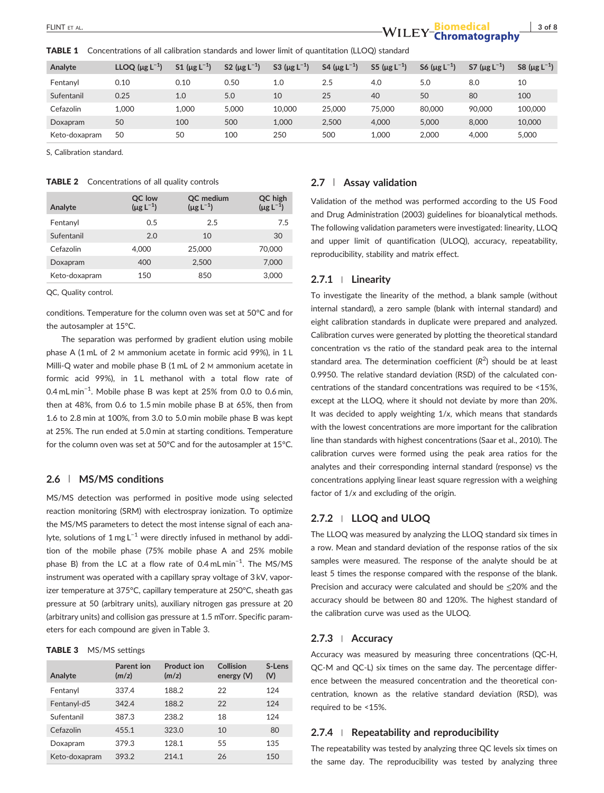**TABLE 1** Concentrations of all calibration standards and lower limit of quantitation (LLOQ) standard

| Analyte       | LLOQ $(\mu g L^{-1})$ | S1 ( $\mu$ g L <sup>-1</sup> ) | S2 ( $\mu$ g L <sup>-1</sup> ) | S3 ( $\mu$ g L <sup>-1</sup> ) | S4 ( $\mu$ g L <sup>-1</sup> ) | S5 ( $\mu$ g L <sup>-1</sup> ) | S6 ( $\mu$ g L <sup>-1</sup> ) | S7 ( $\mu$ g L <sup>-1</sup> ) | S8 ( $\mu$ g L <sup>-1</sup> ) |
|---------------|-----------------------|--------------------------------|--------------------------------|--------------------------------|--------------------------------|--------------------------------|--------------------------------|--------------------------------|--------------------------------|
| Fentanyl      | 0.10                  | 0.10                           | 0.50                           | 1.0                            | 2.5                            | 4.0                            | 5.0                            | 8.0                            | 10                             |
| Sufentanil    | 0.25                  | 1.0                            | 5.0                            | 10                             | 25                             | 40                             | 50                             | 80                             | 100                            |
| Cefazolin     | 1.000                 | 1.000                          | 5.000                          | 10,000                         | 25,000                         | 75.000                         | 80,000                         | 90,000                         | 100,000                        |
| Doxapram      | 50                    | 100                            | 500                            | 1.000                          | 2,500                          | 4.000                          | 5.000                          | 8.000                          | 10,000                         |
| Keto-doxapram | 50                    | 50                             | 100                            | 250                            | 500                            | 1.000                          | 2.000                          | 4.000                          | 5,000                          |

S, Calibration standard.

#### TABLE 2 Concentrations of all quality controls

| Analyte       | QC low<br>$(\mu g L^{-1})$ | QC medium<br>$(\mu g L^{-1})$ | QC high<br>$(\mu g L^{-1})$ |
|---------------|----------------------------|-------------------------------|-----------------------------|
| Fentanyl      | 0.5                        | 2.5                           | 7.5                         |
| Sufentanil    | 2.0                        | 10                            | 30                          |
| Cefazolin     | 4.000                      | 25,000                        | 70,000                      |
| Doxapram      | 400                        | 2.500                         | 7.000                       |
| Keto-doxapram | 150                        | 850                           | 3,000                       |

QC, Quality control.

conditions. Temperature for the column oven was set at 50°C and for the autosampler at 15°C.

The separation was performed by gradient elution using mobile phase A (1 mL of 2 M ammonium acetate in formic acid 99%), in 1 L Milli-Q water and mobile phase B (1 mL of 2 M ammonium acetate in formic acid 99%), in 1L methanol with a total flow rate of 0.4 mL min<sup>-1</sup>. Mobile phase B was kept at 25% from 0.0 to 0.6 min, then at 48%, from 0.6 to 1.5 min mobile phase B at 65%, then from 1.6 to 2.8 min at 100%, from 3.0 to 5.0 min mobile phase B was kept at 25%. The run ended at 5.0 min at starting conditions. Temperature for the column oven was set at 50°C and for the autosampler at 15°C.

### 2.6 | MS/MS conditions

MS/MS detection was performed in positive mode using selected reaction monitoring (SRM) with electrospray ionization. To optimize the MS/MS parameters to detect the most intense signal of each analyte, solutions of 1 mg L<sup>-1</sup> were directly infused in methanol by addition of the mobile phase (75% mobile phase A and 25% mobile phase B) from the LC at a flow rate of 0.4mLmin<sup>-1</sup>. The MS/MS instrument was operated with a capillary spray voltage of 3 kV, vaporizer temperature at 375°C, capillary temperature at 250°C, sheath gas pressure at 50 (arbitrary units), auxiliary nitrogen gas pressure at 20 (arbitrary units) and collision gas pressure at 1.5 mTorr. Specific parameters for each compound are given in Table 3.

#### TABLE 3 MS/MS settings

| Analyte       | Parent ion<br>(m/z) | Product ion<br>(m/z) | Collision<br>energy (V) | S-Lens<br>(V) |
|---------------|---------------------|----------------------|-------------------------|---------------|
| Fentanyl      | 337.4               | 188.2                | 22                      | 124           |
| Fentanyl-d5   | 342.4               | 188.2                | 22                      | 124           |
| Sufentanil    | 387.3               | 238.2                | 18                      | 124           |
| Cefazolin     | 455.1               | 323.0                | 10                      | 80            |
| Doxapram      | 379.3               | 128.1                | 55                      | 135           |
| Keto-doxapram | 393.2               | 214.1                | 26                      | 150           |

## 2.7 | Assay validation

Validation of the method was performed according to the US Food and Drug Administration (2003) guidelines for bioanalytical methods. The following validation parameters were investigated: linearity, LLOQ and upper limit of quantification (ULOQ), accuracy, repeatability, reproducibility, stability and matrix effect.

#### 2.7.1 <sup>|</sup> Linearity

To investigate the linearity of the method, a blank sample (without internal standard), a zero sample (blank with internal standard) and eight calibration standards in duplicate were prepared and analyzed. Calibration curves were generated by plotting the theoretical standard concentration vs the ratio of the standard peak area to the internal standard area. The determination coefficient  $(R^2)$  should be at least 0.9950. The relative standard deviation (RSD) of the calculated concentrations of the standard concentrations was required to be <15%, except at the LLOQ, where it should not deviate by more than 20%. It was decided to apply weighting 1/x, which means that standards with the lowest concentrations are more important for the calibration line than standards with highest concentrations (Saar et al., 2010). The calibration curves were formed using the peak area ratios for the analytes and their corresponding internal standard (response) vs the concentrations applying linear least square regression with a weighing factor of 1/x and excluding of the origin.

# 2.7.2 | LLOQ and ULOQ

The LLOQ was measured by analyzing the LLOQ standard six times in a row. Mean and standard deviation of the response ratios of the six samples were measured. The response of the analyte should be at least 5 times the response compared with the response of the blank. Precision and accuracy were calculated and should be ≤20% and the accuracy should be between 80 and 120%. The highest standard of the calibration curve was used as the ULOQ.

#### 2.7.3 <sup>|</sup> Accuracy

Accuracy was measured by measuring three concentrations (QC‐H, QC‐M and QC‐L) six times on the same day. The percentage difference between the measured concentration and the theoretical concentration, known as the relative standard deviation (RSD), was required to be <15%.

#### $2.7.4$  | Repeatability and reproducibility

The repeatability was tested by analyzing three QC levels six times on the same day. The reproducibility was tested by analyzing three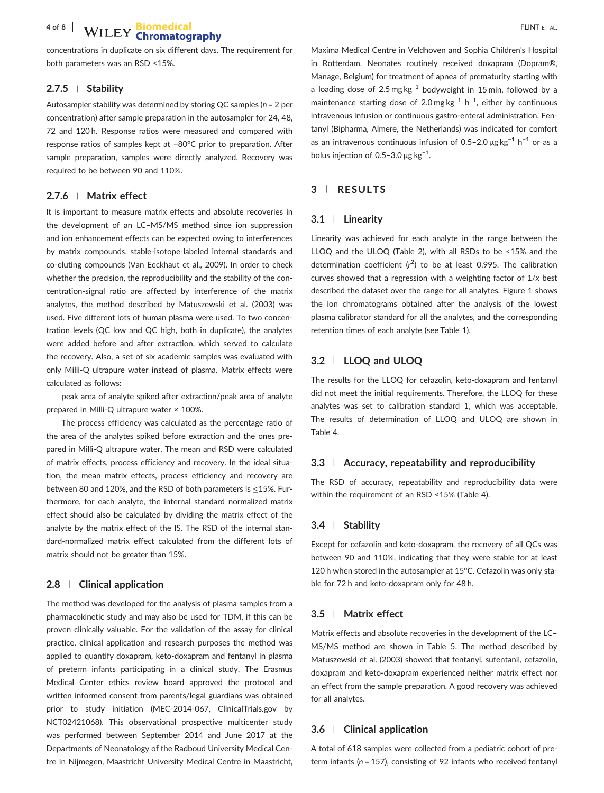concentrations in duplicate on six different days. The requirement for both parameters was an RSD <15%.

#### $2.7.5$  | Stability

Autosampler stability was determined by storing QC samples ( $n = 2$  per concentration) after sample preparation in the autosampler for 24, 48, 72 and 120 h. Response ratios were measured and compared with response ratios of samples kept at −80°C prior to preparation. After sample preparation, samples were directly analyzed. Recovery was required to be between 90 and 110%.

#### 2.7.6 <sup>|</sup> Matrix effect

It is important to measure matrix effects and absolute recoveries in the development of an LC–MS/MS method since ion suppression and ion enhancement effects can be expected owing to interferences by matrix compounds, stable‐isotope‐labeled internal standards and co-eluting compounds (Van Eeckhaut et al., 2009). In order to check whether the precision, the reproducibility and the stability of the concentration‐signal ratio are affected by interference of the matrix analytes, the method described by Matuszewski et al. (2003) was used. Five different lots of human plasma were used. To two concentration levels (QC low and QC high, both in duplicate), the analytes were added before and after extraction, which served to calculate the recovery. Also, a set of six academic samples was evaluated with only Milli‐Q ultrapure water instead of plasma. Matrix effects were calculated as follows:

peak area of analyte spiked after extraction/peak area of analyte prepared in Milli‐Q ultrapure water × 100%.

The process efficiency was calculated as the percentage ratio of the area of the analytes spiked before extraction and the ones prepared in Milli‐Q ultrapure water. The mean and RSD were calculated of matrix effects, process efficiency and recovery. In the ideal situation, the mean matrix effects, process efficiency and recovery are between 80 and 120%, and the RSD of both parameters is ≤15%. Furthermore, for each analyte, the internal standard normalized matrix effect should also be calculated by dividing the matrix effect of the analyte by the matrix effect of the IS. The RSD of the internal standard‐normalized matrix effect calculated from the different lots of matrix should not be greater than 15%.

#### 2.8 | Clinical application

The method was developed for the analysis of plasma samples from a pharmacokinetic study and may also be used for TDM, if this can be proven clinically valuable. For the validation of the assay for clinical practice, clinical application and research purposes the method was applied to quantify doxapram, keto‐doxapram and fentanyl in plasma of preterm infants participating in a clinical study. The Erasmus Medical Center ethics review board approved the protocol and written informed consent from parents/legal guardians was obtained prior to study initiation (MEC‐2014‐067, ClinicalTrials.gov by NCT02421068). This observational prospective multicenter study was performed between September 2014 and June 2017 at the Departments of Neonatology of the Radboud University Medical Centre in Nijmegen, Maastricht University Medical Centre in Maastricht,

Maxima Medical Centre in Veldhoven and Sophia Children's Hospital in Rotterdam. Neonates routinely received doxapram (Dopram®, Manage, Belgium) for treatment of apnea of prematurity starting with a loading dose of 2.5 mg kg<sup>-1</sup> bodyweight in 15 min, followed by a maintenance starting dose of 2.0 mg kg<sup>-1</sup> h<sup>-1</sup>, either by continuous intravenous infusion or continuous gastro-enteral administration. Fentanyl (Bipharma, Almere, the Netherlands) was indicated for comfort as an intravenous continuous infusion of 0.5–2.0  $\mu$ g kg<sup>-1</sup> h<sup>-1</sup> or as a bolus injection of 0.5-3.0  $\mu$ g kg<sup>-1</sup>.

# 3 | RESULTS

#### 3.1 | Linearity

Linearity was achieved for each analyte in the range between the LLOQ and the ULOQ (Table 2), with all RSDs to be <15% and the determination coefficient  $(r^2)$  to be at least 0.995. The calibration curves showed that a regression with a weighting factor of 1/x best described the dataset over the range for all analytes. Figure 1 shows the ion chromatograms obtained after the analysis of the lowest plasma calibrator standard for all the analytes, and the corresponding retention times of each analyte (see Table 1).

# 3.2 | LLOQ and ULOQ

The results for the LLOQ for cefazolin, keto‐doxapram and fentanyl did not meet the initial requirements. Therefore, the LLOQ for these analytes was set to calibration standard 1, which was acceptable. The results of determination of LLOQ and ULOQ are shown in Table 4.

#### 3.3 | Accuracy, repeatability and reproducibility

The RSD of accuracy, repeatability and reproducibility data were within the requirement of an RSD <15% (Table 4).

# 3.4 | Stability

Except for cefazolin and keto-doxapram, the recovery of all QCs was between 90 and 110%, indicating that they were stable for at least 120 h when stored in the autosampler at 15°C. Cefazolin was only stable for 72 h and keto-doxapram only for 48 h.

#### 3.5 | Matrix effect

Matrix effects and absolute recoveries in the development of the LC– MS/MS method are shown in Table 5. The method described by Matuszewski et al. (2003) showed that fentanyl, sufentanil, cefazolin, doxapram and keto‐doxapram experienced neither matrix effect nor an effect from the sample preparation. A good recovery was achieved for all analytes.

### 3.6 | Clinical application

A total of 618 samples were collected from a pediatric cohort of preterm infants ( $n = 157$ ), consisting of 92 infants who received fentanyl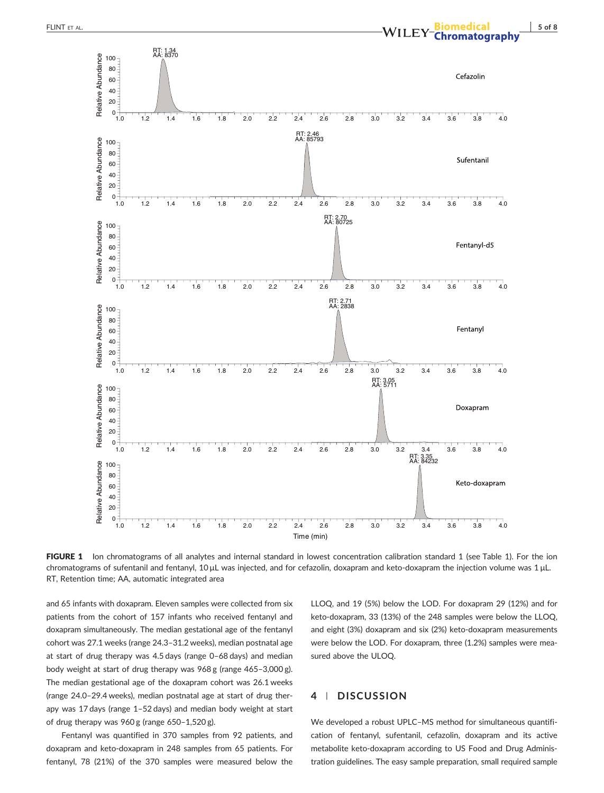

FIGURE 1 Ion chromatograms of all analytes and internal standard in lowest concentration calibration standard 1 (see Table 1). For the ion chromatograms of sufentanil and fentanyl, 10 μL was injected, and for cefazolin, doxapram and keto‐doxapram the injection volume was 1 μL. RT, Retention time; AA, automatic integrated area

and 65 infants with doxapram. Eleven samples were collected from six patients from the cohort of 157 infants who received fentanyl and doxapram simultaneously. The median gestational age of the fentanyl cohort was 27.1 weeks (range 24.3–31.2 weeks), median postnatal age at start of drug therapy was 4.5 days (range 0–68 days) and median body weight at start of drug therapy was 968 g (range 465–3,000 g). The median gestational age of the doxapram cohort was 26.1 weeks (range 24.0–29.4 weeks), median postnatal age at start of drug therapy was 17 days (range 1–52 days) and median body weight at start of drug therapy was 960 g (range 650–1,520 g).

Fentanyl was quantified in 370 samples from 92 patients, and doxapram and keto‐doxapram in 248 samples from 65 patients. For fentanyl, 78 (21%) of the 370 samples were measured below the LLOQ, and 19 (5%) below the LOD. For doxapram 29 (12%) and for keto‐doxapram, 33 (13%) of the 248 samples were below the LLOQ, and eight (3%) doxapram and six (2%) keto-doxapram measurements were below the LOD. For doxapram, three (1.2%) samples were measured above the ULOQ.

# 4 | DISCUSSION

We developed a robust UPLC–MS method for simultaneous quantification of fentanyl, sufentanil, cefazolin, doxapram and its active metabolite keto-doxapram according to US Food and Drug Administration guidelines. The easy sample preparation, small required sample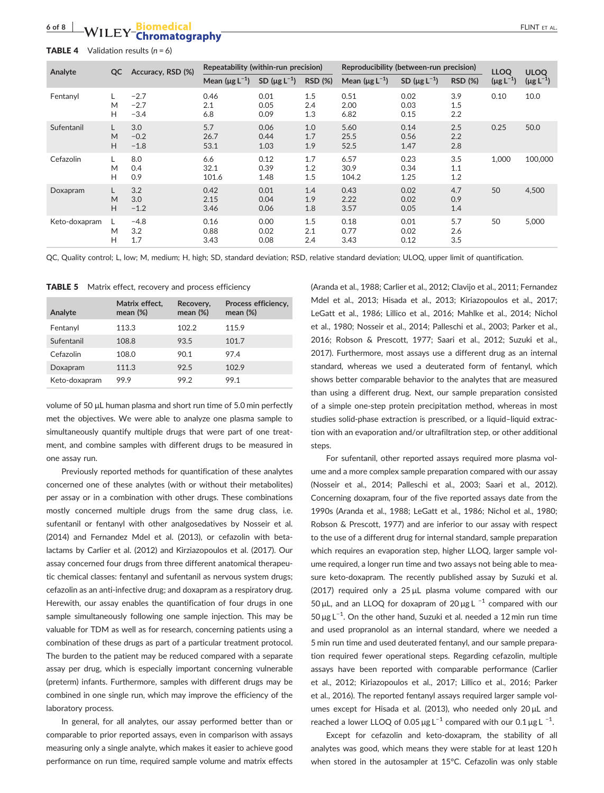# of 8 | WILEY<sup>-</sup>Chromatography **FLINT ET AL.**

**TABLE 4** Validation results  $(n = 6)$ 

| Analyte       | QC     | Accuracy, RSD (%)          | Repeatability (within-run precision) |                                |                   | Reproducibility (between-run precision) |                                |                   | <b>LLOQ</b>      | <b>ULOO</b>      |
|---------------|--------|----------------------------|--------------------------------------|--------------------------------|-------------------|-----------------------------------------|--------------------------------|-------------------|------------------|------------------|
|               |        |                            | Mean $(\mu$ g L <sup>-1</sup> )      | SD ( $\mu$ g L <sup>-1</sup> ) | <b>RSD (%)</b>    | Mean $(\mu g L^{-1})$                   | SD ( $\mu$ g L <sup>-1</sup> ) | <b>RSD (%)</b>    | $(\mu g L^{-1})$ | $(\mu g L^{-1})$ |
| Fentanyl      | M<br>н | $-2.7$<br>$-2.7$<br>$-3.4$ | 0.46<br>2.1<br>6.8                   | 0.01<br>0.05<br>0.09           | 1.5<br>2.4<br>1.3 | 0.51<br>2.00<br>6.82                    | 0.02<br>0.03<br>0.15           | 3.9<br>1.5<br>2.2 | 0.10             | 10.0             |
| Sufentanil    | M<br>H | 3.0<br>$-0.2$<br>$-1.8$    | 5.7<br>26.7<br>53.1                  | 0.06<br>0.44<br>1.03           | 1.0<br>1.7<br>1.9 | 5.60<br>25.5<br>52.5                    | 0.14<br>0.56<br>1.47           | 2.5<br>2.2<br>2.8 | 0.25             | 50.0             |
| Cefazolin     | M<br>н | 8.0<br>0.4<br>0.9          | 6.6<br>32.1<br>101.6                 | 0.12<br>0.39<br>1.48           | 1.7<br>1.2<br>1.5 | 6.57<br>30.9<br>104.2                   | 0.23<br>0.34<br>1.25           | 3.5<br>1.1<br>1.2 | 1.000            | 100,000          |
| Doxapram      | M<br>H | 3.2<br>3.0<br>$-1.2$       | 0.42<br>2.15<br>3.46                 | 0.01<br>0.04<br>0.06           | 1.4<br>1.9<br>1.8 | 0.43<br>2.22<br>3.57                    | 0.02<br>0.02<br>0.05           | 4.7<br>0.9<br>1.4 | 50               | 4,500            |
| Keto-doxapram | M<br>н | $-4.8$<br>3.2<br>1.7       | 0.16<br>0.88<br>3.43                 | 0.00<br>0.02<br>0.08           | 1.5<br>2.1<br>2.4 | 0.18<br>0.77<br>3.43                    | 0.01<br>0.02<br>0.12           | 5.7<br>2.6<br>3.5 | 50               | 5,000            |

QC, Quality control; L, low; M, medium; H, high; SD, standard deviation; RSD, relative standard deviation; ULOQ, upper limit of quantification.

**TABLE 5** Matrix effect, recovery and process efficiency

| Analyte       | Matrix effect,<br>mean $(\%)$ | Recovery,<br>mean $(\%)$ | Process efficiency,<br>mean $(\%)$ |
|---------------|-------------------------------|--------------------------|------------------------------------|
| Fentanyl      | 113.3                         | 102.2                    | 115.9                              |
| Sufentanil    | 108.8                         | 93.5                     | 101.7                              |
| Cefazolin     | 108.0                         | 90.1                     | 97.4                               |
| Doxapram      | 111.3                         | 92.5                     | 102.9                              |
| Keto-doxapram | 99.9                          | 99.2                     | 99.1                               |

volume of 50 μL human plasma and short run time of 5.0 min perfectly met the objectives. We were able to analyze one plasma sample to simultaneously quantify multiple drugs that were part of one treatment, and combine samples with different drugs to be measured in one assay run.

Previously reported methods for quantification of these analytes concerned one of these analytes (with or without their metabolites) per assay or in a combination with other drugs. These combinations mostly concerned multiple drugs from the same drug class, i.e. sufentanil or fentanyl with other analgosedatives by Nosseir et al. (2014) and Fernandez Mdel et al. (2013), or cefazolin with betalactams by Carlier et al. (2012) and Kirziazopoulos et al. (2017). Our assay concerned four drugs from three different anatomical therapeutic chemical classes: fentanyl and sufentanil as nervous system drugs; cefazolin as an anti‐infective drug; and doxapram as a respiratory drug. Herewith, our assay enables the quantification of four drugs in one sample simultaneously following one sample injection. This may be valuable for TDM as well as for research, concerning patients using a combination of these drugs as part of a particular treatment protocol. The burden to the patient may be reduced compared with a separate assay per drug, which is especially important concerning vulnerable (preterm) infants. Furthermore, samples with different drugs may be combined in one single run, which may improve the efficiency of the laboratory process.

In general, for all analytes, our assay performed better than or comparable to prior reported assays, even in comparison with assays measuring only a single analyte, which makes it easier to achieve good performance on run time, required sample volume and matrix effects (Aranda et al., 1988; Carlier et al., 2012; Clavijo et al., 2011; Fernandez Mdel et al., 2013; Hisada et al., 2013; Kiriazopoulos et al., 2017; LeGatt et al., 1986; Lillico et al., 2016; Mahlke et al., 2014; Nichol et al., 1980; Nosseir et al., 2014; Palleschi et al., 2003; Parker et al., 2016; Robson & Prescott, 1977; Saari et al., 2012; Suzuki et al., 2017). Furthermore, most assays use a different drug as an internal standard, whereas we used a deuterated form of fentanyl, which shows better comparable behavior to the analytes that are measured than using a different drug. Next, our sample preparation consisted of a simple one‐step protein precipitation method, whereas in most studies solid‐phase extraction is prescribed, or a liquid–liquid extraction with an evaporation and/or ultrafiltration step, or other additional steps.

For sufentanil, other reported assays required more plasma volume and a more complex sample preparation compared with our assay (Nosseir et al., 2014; Palleschi et al., 2003; Saari et al., 2012). Concerning doxapram, four of the five reported assays date from the 1990s (Aranda et al., 1988; LeGatt et al., 1986; Nichol et al., 1980; Robson & Prescott, 1977) and are inferior to our assay with respect to the use of a different drug for internal standard, sample preparation which requires an evaporation step, higher LLOQ, larger sample volume required, a longer run time and two assays not being able to measure keto-doxapram. The recently published assay by Suzuki et al. (2017) required only a 25 μL plasma volume compared with our 50 μL, and an LLOQ for doxapram of 20 μg L<sup>-1</sup> compared with our 50 μg L−<sup>1</sup> . On the other hand, Suzuki et al. needed a 12 min run time and used propranolol as an internal standard, where we needed a 5 min run time and used deuterated fentanyl, and our sample preparation required fewer operational steps. Regarding cefazolin, multiple assays have been reported with comparable performance (Carlier et al., 2012; Kiriazopoulos et al., 2017; Lillico et al., 2016; Parker et al., 2016). The reported fentanyl assays required larger sample volumes except for Hisada et al. (2013), who needed only 20 μL and reached a lower LLOQ of 0.05  $\mu$ g L<sup>-1</sup> compared with our 0.1  $\mu$ g L<sup>-1</sup>.

Except for cefazolin and keto-doxapram, the stability of all analytes was good, which means they were stable for at least 120 h when stored in the autosampler at 15°C. Cefazolin was only stable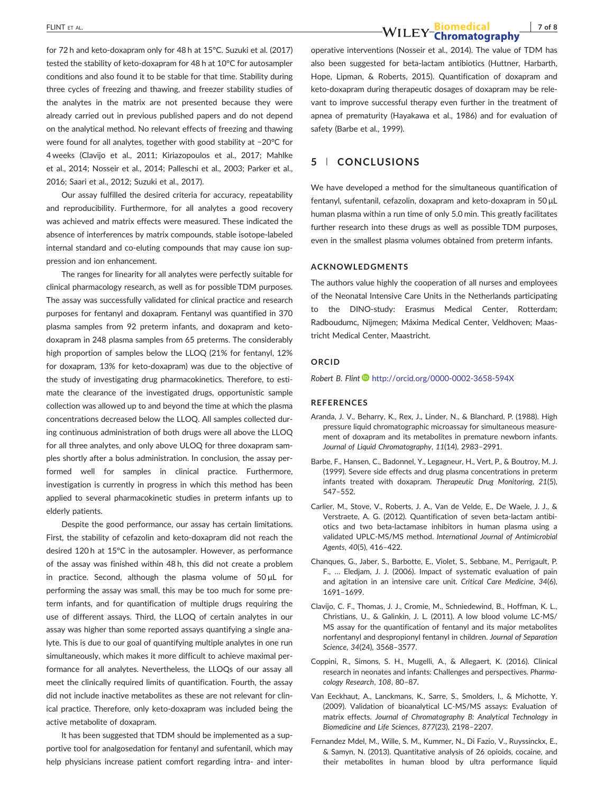for 72 h and keto‐doxapram only for 48 h at 15°C. Suzuki et al. (2017) tested the stability of keto-doxapram for 48 h at 10°C for autosampler conditions and also found it to be stable for that time. Stability during three cycles of freezing and thawing, and freezer stability studies of the analytes in the matrix are not presented because they were already carried out in previous published papers and do not depend on the analytical method. No relevant effects of freezing and thawing were found for all analytes, together with good stability at −20°C for 4 weeks (Clavijo et al., 2011; Kiriazopoulos et al., 2017; Mahlke et al., 2014; Nosseir et al., 2014; Palleschi et al., 2003; Parker et al., 2016; Saari et al., 2012; Suzuki et al., 2017).

Our assay fulfilled the desired criteria for accuracy, repeatability and reproducibility. Furthermore, for all analytes a good recovery was achieved and matrix effects were measured. These indicated the absence of interferences by matrix compounds, stable isotope‐labeled internal standard and co-eluting compounds that may cause ion suppression and ion enhancement.

The ranges for linearity for all analytes were perfectly suitable for clinical pharmacology research, as well as for possible TDM purposes. The assay was successfully validated for clinical practice and research purposes for fentanyl and doxapram. Fentanyl was quantified in 370 plasma samples from 92 preterm infants, and doxapram and keto‐ doxapram in 248 plasma samples from 65 preterms. The considerably high proportion of samples below the LLOQ (21% for fentanyl, 12% for doxapram, 13% for keto‐doxapram) was due to the objective of the study of investigating drug pharmacokinetics. Therefore, to estimate the clearance of the investigated drugs, opportunistic sample collection was allowed up to and beyond the time at which the plasma concentrations decreased below the LLOQ. All samples collected during continuous administration of both drugs were all above the LLOQ for all three analytes, and only above ULOQ for three doxapram samples shortly after a bolus administration. In conclusion, the assay performed well for samples in clinical practice. Furthermore, investigation is currently in progress in which this method has been applied to several pharmacokinetic studies in preterm infants up to elderly patients.

Despite the good performance, our assay has certain limitations. First, the stability of cefazolin and keto‐doxapram did not reach the desired 120 h at 15°C in the autosampler. However, as performance of the assay was finished within 48 h, this did not create a problem in practice. Second, although the plasma volume of 50 μL for performing the assay was small, this may be too much for some preterm infants, and for quantification of multiple drugs requiring the use of different assays. Third, the LLOQ of certain analytes in our assay was higher than some reported assays quantifying a single analyte. This is due to our goal of quantifying multiple analytes in one run simultaneously, which makes it more difficult to achieve maximal performance for all analytes. Nevertheless, the LLOQs of our assay all meet the clinically required limits of quantification. Fourth, the assay did not include inactive metabolites as these are not relevant for clinical practice. Therefore, only keto‐doxapram was included being the active metabolite of doxapram.

It has been suggested that TDM should be implemented as a supportive tool for analgosedation for fentanyl and sufentanil, which may help physicians increase patient comfort regarding intra- and inter-

FLINT ET AL. 7 of 8

operative interventions (Nosseir et al., 2014). The value of TDM has also been suggested for beta‐lactam antibiotics (Huttner, Harbarth, Hope, Lipman, & Roberts, 2015). Quantification of doxapram and keto‐doxapram during therapeutic dosages of doxapram may be relevant to improve successful therapy even further in the treatment of apnea of prematurity (Hayakawa et al., 1986) and for evaluation of safety (Barbe et al., 1999).

# 5 | CONCLUSIONS

We have developed a method for the simultaneous quantification of fentanyl, sufentanil, cefazolin, doxapram and keto‐doxapram in 50 μL human plasma within a run time of only 5.0 min. This greatly facilitates further research into these drugs as well as possible TDM purposes, even in the smallest plasma volumes obtained from preterm infants.

#### ACKNOWLEDGMENTS

The authors value highly the cooperation of all nurses and employees of the Neonatal Intensive Care Units in the Netherlands participating to the DINO‐study: Erasmus Medical Center, Rotterdam; Radboudumc, Nijmegen; Máxima Medical Center, Veldhoven; Maastricht Medical Center, Maastricht.

#### **ORCID**

Robert B. Flint <http://orcid.org/0000-0002-3658-594X>

#### REFERENCES

- Aranda, J. V., Beharry, K., Rex, J., Linder, N., & Blanchard, P. (1988). High pressure liquid chromatographic microassay for simultaneous measurement of doxapram and its metabolites in premature newborn infants. Journal of Liquid Chromatography, 11(14), 2983–2991.
- Barbe, F., Hansen, C., Badonnel, Y., Legagneur, H., Vert, P., & Boutroy, M. J. (1999). Severe side effects and drug plasma concentrations in preterm infants treated with doxapram. Therapeutic Drug Monitoring, 21(5), 547–552.
- Carlier, M., Stove, V., Roberts, J. A., Van de Velde, E., De Waele, J. J., & Verstraete, A. G. (2012). Quantification of seven beta‐lactam antibiotics and two beta‐lactamase inhibitors in human plasma using a validated UPLC‐MS/MS method. International Journal of Antimicrobial Agents, 40(5), 416–422.
- Chanques, G., Jaber, S., Barbotte, E., Violet, S., Sebbane, M., Perrigault, P. F., … Eledjam, J. J. (2006). Impact of systematic evaluation of pain and agitation in an intensive care unit. Critical Care Medicine, 34(6), 1691–1699.
- Clavijo, C. F., Thomas, J. J., Cromie, M., Schniedewind, B., Hoffman, K. L., Christians, U., & Galinkin, J. L. (2011). A low blood volume LC‐MS/ MS assay for the quantification of fentanyl and its major metabolites norfentanyl and despropionyl fentanyl in children. Journal of Separation Science, 34(24), 3568–3577.
- Coppini, R., Simons, S. H., Mugelli, A., & Allegaert, K. (2016). Clinical research in neonates and infants: Challenges and perspectives. Pharmacology Research, 108, 80–87.
- Van Eeckhaut, A., Lanckmans, K., Sarre, S., Smolders, I., & Michotte, Y. (2009). Validation of bioanalytical LC‐MS/MS assays: Evaluation of matrix effects. Journal of Chromatography B: Analytical Technology in Biomedicine and Life Sciences, 877(23), 2198–2207.
- Fernandez Mdel, M., Wille, S. M., Kummer, N., Di Fazio, V., Ruyssinckx, E., & Samyn, N. (2013). Quantitative analysis of 26 opioids, cocaine, and their metabolites in human blood by ultra performance liquid